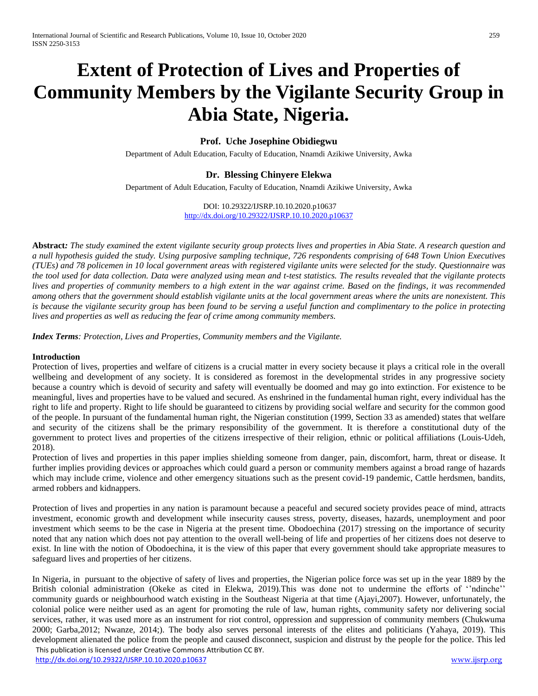# **Extent of Protection of Lives and Properties of Community Members by the Vigilante Security Group in Abia State, Nigeria.**

# **Prof. Uche Josephine Obidiegwu**

Department of Adult Education, Faculty of Education, Nnamdi Azikiwe University, Awka

# **Dr. Blessing Chinyere Elekwa**

Department of Adult Education, Faculty of Education, Nnamdi Azikiwe University, Awka

#### DOI: 10.29322/IJSRP.10.10.2020.p10637 <http://dx.doi.org/10.29322/IJSRP.10.10.2020.p10637>

**Abstract***: The study examined the extent vigilante security group protects lives and properties in Abia State. A research question and a null hypothesis guided the study. Using purposive sampling technique, 726 respondents comprising of 648 Town Union Executives (TUEs) and 78 policemen in 10 local government areas with registered vigilante units were selected for the study. Questionnaire was the tool used for data collection. Data were analyzed using mean and t-test statistics. The results revealed that the vigilante protects lives and properties of community members to a high extent in the war against crime. Based on the findings, it was recommended among others that the government should establish vigilante units at the local government areas where the units are nonexistent. This is because the vigilante security group has been found to be serving a useful function and complimentary to the police in protecting lives and properties as well as reducing the fear of crime among community members.* 

*Index Terms: Protection, Lives and Properties, Community members and the Vigilante.*

## **Introduction**

Protection of lives, properties and welfare of citizens is a crucial matter in every society because it plays a critical role in the overall wellbeing and development of any society. It is considered as foremost in the developmental strides in any progressive society because a country which is devoid of security and safety will eventually be doomed and may go into extinction. For existence to be meaningful, lives and properties have to be valued and secured. As enshrined in the fundamental human right, every individual has the right to life and property. Right to life should be guaranteed to citizens by providing social welfare and security for the common good of the people. In pursuant of the fundamental human right, the Nigerian constitution (1999, Section 33 as amended) states that welfare and security of the citizens shall be the primary responsibility of the government. It is therefore a constitutional duty of the government to protect lives and properties of the citizens irrespective of their religion, ethnic or political affiliations (Louis-Udeh, 2018).

Protection of lives and properties in this paper implies shielding someone from danger, pain, discomfort, harm, threat or disease. It further implies providing devices or approaches which could guard a person or community members against a broad range of hazards which may include crime, violence and other emergency situations such as the present covid-19 pandemic, Cattle herdsmen, bandits, armed robbers and kidnappers.

Protection of lives and properties in any nation is paramount because a peaceful and secured society provides peace of mind, attracts investment, economic growth and development while insecurity causes stress, poverty, diseases, hazards, unemployment and poor investment which seems to be the case in Nigeria at the present time. Obodoechina (2017) stressing on the importance of security noted that any nation which does not pay attention to the overall well-being of life and properties of her citizens does not deserve to exist. In line with the notion of Obodoechina, it is the view of this paper that every government should take appropriate measures to safeguard lives and properties of her citizens.

 This publication is licensed under Creative Commons Attribution CC BY. In Nigeria, in pursuant to the objective of safety of lives and properties, the Nigerian police force was set up in the year 1889 by the British colonial administration (Okeke as cited in Elekwa, 2019).This was done not to undermine the efforts of ''ndinche'' community guards or neighbourhood watch existing in the Southeast Nigeria at that time (Ajayi,2007). However, unfortunately, the colonial police were neither used as an agent for promoting the rule of law, human rights, community safety nor delivering social services, rather, it was used more as an instrument for riot control, oppression and suppression of community members (Chukwuma 2000; Garba,2012; Nwanze, 2014;). The body also serves personal interests of the elites and politicians (Yahaya, 2019). This development alienated the police from the people and caused disconnect, suspicion and distrust by the people for the police. This led

<http://dx.doi.org/10.29322/IJSRP.10.10.2020.p10637>[www.ijsrp.org](http://ijsrp.org/)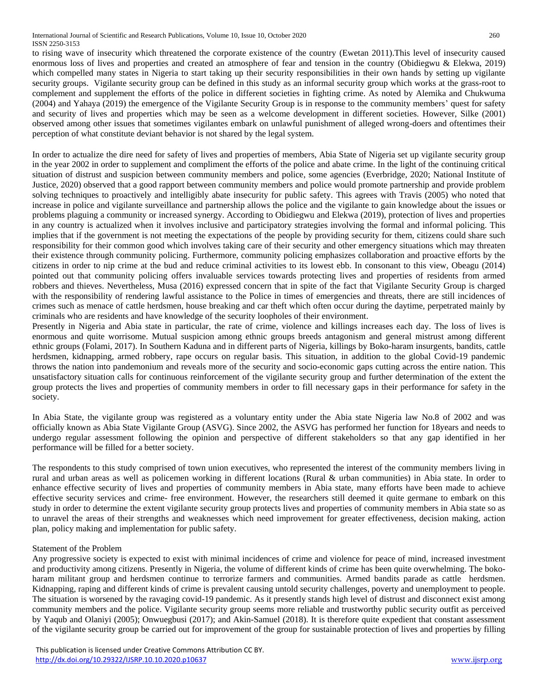to rising wave of insecurity which threatened the corporate existence of the country (Ewetan 2011).This level of insecurity caused enormous loss of lives and properties and created an atmosphere of fear and tension in the country (Obidiegwu & Elekwa, 2019) which compelled many states in Nigeria to start taking up their security responsibilities in their own hands by setting up vigilante security groups. Vigilante security group can be defined in this study as an informal security group which works at the grass-root to complement and supplement the efforts of the police in different societies in fighting crime. As noted by Alemika and Chukwuma (2004) and Yahaya (2019) the emergence of the Vigilante Security Group is in response to the community members' quest for safety and security of lives and properties which may be seen as a welcome development in different societies. However, Silke (2001) observed among other issues that sometimes vigilantes embark on unlawful punishment of alleged wrong-doers and oftentimes their perception of what constitute deviant behavior is not shared by the legal system.

In order to actualize the dire need for safety of lives and properties of members, Abia State of Nigeria set up vigilante security group in the year 2002 in order to supplement and compliment the efforts of the police and abate crime. In the light of the continuing critical situation of distrust and suspicion between community members and police, some agencies (Everbridge, 2020; National Institute of Justice, 2020) observed that a good rapport between community members and police would promote partnership and provide problem solving techniques to proactively and intelligibly abate insecurity for public safety. This agrees with Travis (2005) who noted that increase in police and vigilante surveillance and partnership allows the police and the vigilante to gain knowledge about the issues or problems plaguing a community or increased synergy. According to Obidiegwu and Elekwa (2019), protection of lives and properties in any country is actualized when it involves inclusive and participatory strategies involving the formal and informal policing. This implies that if the government is not meeting the expectations of the people by providing security for them, citizens could share such responsibility for their common good which involves taking care of their security and other emergency situations which may threaten their existence through community policing. Furthermore, community policing emphasizes collaboration and proactive efforts by the citizens in order to nip crime at the bud and reduce criminal activities to its lowest ebb. In consonant to this view, Obeagu (2014) pointed out that community policing offers invaluable services towards protecting lives and properties of residents from armed robbers and thieves. Nevertheless, Musa (2016) expressed concern that in spite of the fact that Vigilante Security Group is charged with the responsibility of rendering lawful assistance to the Police in times of emergencies and threats, there are still incidences of crimes such as menace of cattle herdsmen, house breaking and car theft which often occur during the daytime, perpetrated mainly by criminals who are residents and have knowledge of the security loopholes of their environment.

Presently in Nigeria and Abia state in particular, the rate of crime, violence and killings increases each day. The loss of lives is enormous and quite worrisome. Mutual suspicion among ethnic groups breeds antagonism and general mistrust among different ethnic groups (Folami, 2017). In Southern Kaduna and in different parts of Nigeria, killings by Boko-haram insurgents, bandits, cattle herdsmen, kidnapping, armed robbery, rape occurs on regular basis. This situation, in addition to the global Covid-19 pandemic throws the nation into pandemonium and reveals more of the security and socio-economic gaps cutting across the entire nation. This unsatisfactory situation calls for continuous reinforcement of the vigilante security group and further determination of the extent the group protects the lives and properties of community members in order to fill necessary gaps in their performance for safety in the society.

In Abia State, the vigilante group was registered as a voluntary entity under the Abia state Nigeria law No.8 of 2002 and was officially known as Abia State Vigilante Group (ASVG). Since 2002, the ASVG has performed her function for 18years and needs to undergo regular assessment following the opinion and perspective of different stakeholders so that any gap identified in her performance will be filled for a better society.

The respondents to this study comprised of town union executives, who represented the interest of the community members living in rural and urban areas as well as policemen working in different locations (Rural & urban communities) in Abia state. In order to enhance effective security of lives and properties of community members in Abia state, many efforts have been made to achieve effective security services and crime- free environment. However, the researchers still deemed it quite germane to embark on this study in order to determine the extent vigilante security group protects lives and properties of community members in Abia state so as to unravel the areas of their strengths and weaknesses which need improvement for greater effectiveness, decision making, action plan, policy making and implementation for public safety.

# Statement of the Problem

Any progressive society is expected to exist with minimal incidences of crime and violence for peace of mind, increased investment and productivity among citizens. Presently in Nigeria, the volume of different kinds of crime has been quite overwhelming. The bokoharam militant group and herdsmen continue to terrorize farmers and communities. Armed bandits parade as cattle herdsmen. Kidnapping, raping and different kinds of crime is prevalent causing untold security challenges, poverty and unemployment to people. The situation is worsened by the ravaging covid-19 pandemic. As it presently stands high level of distrust and disconnect exist among community members and the police. Vigilante security group seems more reliable and trustworthy public security outfit as perceived by Yaqub and Olaniyi (2005); Onwuegbusi (2017); and Akin-Samuel (2018). It is therefore quite expedient that constant assessment of the vigilante security group be carried out for improvement of the group for sustainable protection of lives and properties by filling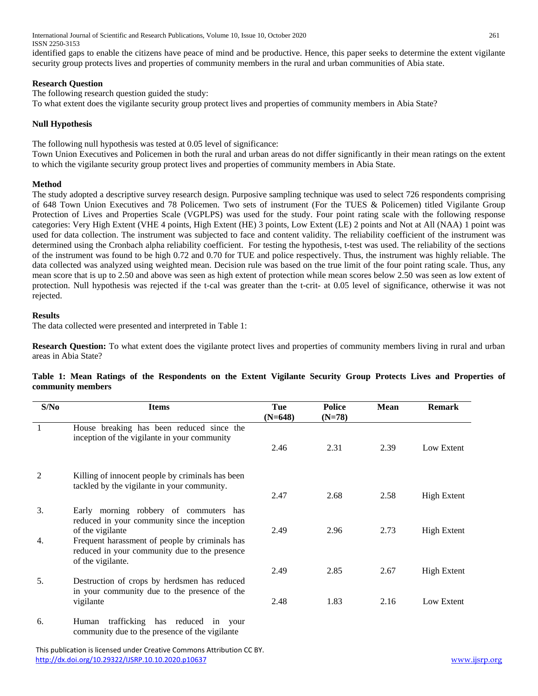International Journal of Scientific and Research Publications, Volume 10, Issue 10, October 2020 261 ISSN 2250-3153

identified gaps to enable the citizens have peace of mind and be productive. Hence, this paper seeks to determine the extent vigilante security group protects lives and properties of community members in the rural and urban communities of Abia state.

## **Research Question**

The following research question guided the study:

To what extent does the vigilante security group protect lives and properties of community members in Abia State?

# **Null Hypothesis**

The following null hypothesis was tested at 0.05 level of significance:

Town Union Executives and Policemen in both the rural and urban areas do not differ significantly in their mean ratings on the extent to which the vigilante security group protect lives and properties of community members in Abia State.

# **Method**

The study adopted a descriptive survey research design. Purposive sampling technique was used to select 726 respondents comprising of 648 Town Union Executives and 78 Policemen. Two sets of instrument (For the TUES & Policemen) titled Vigilante Group Protection of Lives and Properties Scale (VGPLPS) was used for the study. Four point rating scale with the following response categories: Very High Extent (VHE 4 points, High Extent (HE) 3 points, Low Extent (LE) 2 points and Not at All (NAA) 1 point was used for data collection. The instrument was subjected to face and content validity. The reliability coefficient of the instrument was determined using the Cronbach alpha reliability coefficient. For testing the hypothesis, t-test was used. The reliability of the sections of the instrument was found to be high 0.72 and 0.70 for TUE and police respectively. Thus, the instrument was highly reliable. The data collected was analyzed using weighted mean. Decision rule was based on the true limit of the four point rating scale. Thus, any mean score that is up to 2.50 and above was seen as high extent of protection while mean scores below 2.50 was seen as low extent of protection. Null hypothesis was rejected if the t-cal was greater than the t-crit- at 0.05 level of significance, otherwise it was not rejected.

## **Results**

The data collected were presented and interpreted in Table 1:

**Research Question:** To what extent does the vigilante protect lives and properties of community members living in rural and urban areas in Abia State?

| S/No                        | <b>Items</b>                                                                                                         | Tue<br>$(N=648)$ | <b>Police</b><br>$(N=78)$ | <b>Mean</b> | <b>Remark</b>      |
|-----------------------------|----------------------------------------------------------------------------------------------------------------------|------------------|---------------------------|-------------|--------------------|
|                             | House breaking has been reduced since the<br>inception of the vigilante in your community                            | 2.46             | 2.31                      | 2.39        | Low Extent         |
| $\mathfrak{D}$              | Killing of innocent people by criminals has been<br>tackled by the vigilante in your community.                      | 2.47             | 2.68                      | 2.58        | <b>High Extent</b> |
| $\mathcal{F}_{\mathcal{L}}$ | Early morning robbery of commuters has<br>reduced in your community since the inception<br>of the vigilante          | 2.49             | 2.96                      | 2.73        | <b>High Extent</b> |
| 4.                          | Frequent harassment of people by criminals has<br>reduced in your community due to the presence<br>of the vigilante. |                  |                           |             |                    |
| 5.                          | Destruction of crops by herdsmen has reduced<br>in your community due to the presence of the                         | 2.49             | 2.85                      | 2.67        | <b>High Extent</b> |
| 6.                          | vigilante<br>trafficking has reduced in your<br>Human                                                                | 2.48             | 1.83                      | 2.16        | Low Extent         |
|                             | community due to the presence of the vigilante                                                                       |                  |                           |             |                    |

## **Table 1: Mean Ratings of the Respondents on the Extent Vigilante Security Group Protects Lives and Properties of community members**

 This publication is licensed under Creative Commons Attribution CC BY. <http://dx.doi.org/10.29322/IJSRP.10.10.2020.p10637>[www.ijsrp.org](http://ijsrp.org/)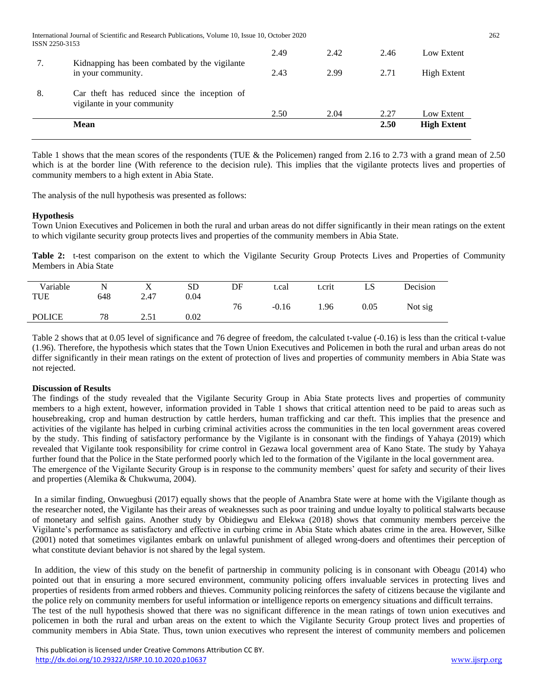|                | <b>Mean</b>                                                                                      |      |      | 2.50 | <b>High Extent</b> |
|----------------|--------------------------------------------------------------------------------------------------|------|------|------|--------------------|
|                |                                                                                                  | 2.50 | 2.04 | 2.27 | Low Extent         |
| 8.             | Car theft has reduced since the inception of<br>vigilante in your community                      |      |      |      |                    |
|                | Kidnapping has been combated by the vigilante<br>in your community.                              | 2.43 | 2.99 | 2.71 | High Extent        |
| 7.             |                                                                                                  | 2.49 | 2.42 | 2.46 | Low Extent         |
| ISSN 2250-3153 | International Journal of Scientific and Research Publications, Volume 10, Issue 10, October 2020 |      |      |      |                    |

Table 1 shows that the mean scores of the respondents (TUE & the Policemen) ranged from 2.16 to 2.73 with a grand mean of 2.50 which is at the border line (With reference to the decision rule). This implies that the vigilante protects lives and properties of community members to a high extent in Abia State.

The analysis of the null hypothesis was presented as follows:

## **Hypothesis**

Town Union Executives and Policemen in both the rural and urban areas do not differ significantly in their mean ratings on the extent to which vigilante security group protects lives and properties of the community members in Abia State.

Table 2: t-test comparison on the extent to which the Vigilante Security Group Protects Lives and Properties of Community Members in Abia State

| Variable      |     | $\overline{\mathbf{x}}$<br>Λ | <b>SD</b> | DF | t.cal   | t.crit | LS   | Decision |
|---------------|-----|------------------------------|-----------|----|---------|--------|------|----------|
| <b>TUE</b>    | 648 | 2.47                         | 0.04      |    |         |        |      |          |
|               |     |                              |           | 76 | $-0.16$ | 1.96   | 0.05 | Not sig  |
| <b>POLICE</b> | 78  | ا ن                          | 0.02      |    |         |        |      |          |

Table 2 shows that at 0.05 level of significance and 76 degree of freedom, the calculated t-value (-0.16) is less than the critical t-value (1.96). Therefore, the hypothesis which states that the Town Union Executives and Policemen in both the rural and urban areas do not differ significantly in their mean ratings on the extent of protection of lives and properties of community members in Abia State was not rejected.

#### **Discussion of Results**

The findings of the study revealed that the Vigilante Security Group in Abia State protects lives and properties of community members to a high extent, however, information provided in Table 1 shows that critical attention need to be paid to areas such as housebreaking, crop and human destruction by cattle herders, human trafficking and car theft. This implies that the presence and activities of the vigilante has helped in curbing criminal activities across the communities in the ten local government areas covered by the study. This finding of satisfactory performance by the Vigilante is in consonant with the findings of Yahaya (2019) which revealed that Vigilante took responsibility for crime control in Gezawa local government area of Kano State. The study by Yahaya further found that the Police in the State performed poorly which led to the formation of the Vigilante in the local government area. The emergence of the Vigilante Security Group is in response to the community members' quest for safety and security of their lives and properties (Alemika & Chukwuma, 2004).

In a similar finding, Onwuegbusi (2017) equally shows that the people of Anambra State were at home with the Vigilante though as the researcher noted, the Vigilante has their areas of weaknesses such as poor training and undue loyalty to political stalwarts because of monetary and selfish gains. Another study by Obidiegwu and Elekwa (2018) shows that community members perceive the Vigilante's performance as satisfactory and effective in curbing crime in Abia State which abates crime in the area. However, Silke (2001) noted that sometimes vigilantes embark on unlawful punishment of alleged wrong-doers and oftentimes their perception of what constitute deviant behavior is not shared by the legal system.

In addition, the view of this study on the benefit of partnership in community policing is in consonant with Obeagu (2014) who pointed out that in ensuring a more secured environment, community policing offers invaluable services in protecting lives and properties of residents from armed robbers and thieves. Community policing reinforces the safety of citizens because the vigilante and the police rely on community members for useful information or intelligence reports on emergency situations and difficult terrains. The test of the null hypothesis showed that there was no significant difference in the mean ratings of town union executives and policemen in both the rural and urban areas on the extent to which the Vigilante Security Group protect lives and properties of community members in Abia State. Thus, town union executives who represent the interest of community members and policemen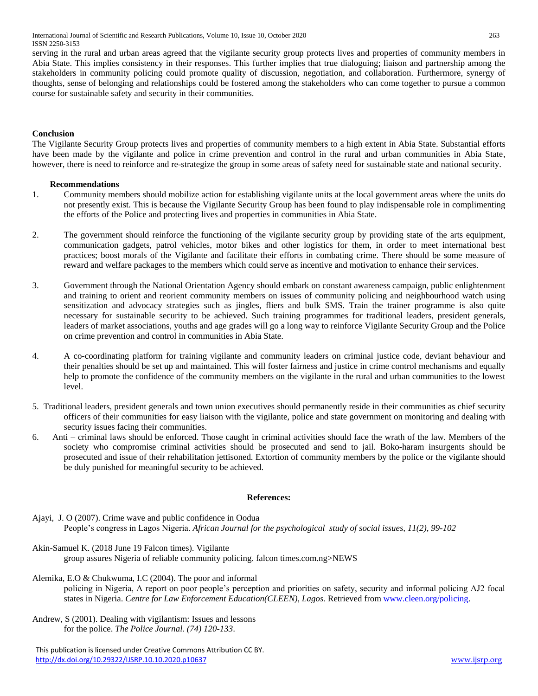International Journal of Scientific and Research Publications, Volume 10, Issue 10, October 2020 263 ISSN 2250-3153

serving in the rural and urban areas agreed that the vigilante security group protects lives and properties of community members in Abia State. This implies consistency in their responses. This further implies that true dialoguing; liaison and partnership among the stakeholders in community policing could promote quality of discussion, negotiation, and collaboration. Furthermore, synergy of thoughts, sense of belonging and relationships could be fostered among the stakeholders who can come together to pursue a common course for sustainable safety and security in their communities.

#### **Conclusion**

The Vigilante Security Group protects lives and properties of community members to a high extent in Abia State. Substantial efforts have been made by the vigilante and police in crime prevention and control in the rural and urban communities in Abia State, however, there is need to reinforce and re-strategize the group in some areas of safety need for sustainable state and national security.

#### **Recommendations**

- 1. Community members should mobilize action for establishing vigilante units at the local government areas where the units do not presently exist. This is because the Vigilante Security Group has been found to play indispensable role in complimenting the efforts of the Police and protecting lives and properties in communities in Abia State.
- 2. The government should reinforce the functioning of the vigilante security group by providing state of the arts equipment, communication gadgets, patrol vehicles, motor bikes and other logistics for them, in order to meet international best practices; boost morals of the Vigilante and facilitate their efforts in combating crime. There should be some measure of reward and welfare packages to the members which could serve as incentive and motivation to enhance their services.
- 3. Government through the National Orientation Agency should embark on constant awareness campaign, public enlightenment and training to orient and reorient community members on issues of community policing and neighbourhood watch using sensitization and advocacy strategies such as jingles, fliers and bulk SMS. Train the trainer programme is also quite necessary for sustainable security to be achieved. Such training programmes for traditional leaders, president generals, leaders of market associations, youths and age grades will go a long way to reinforce Vigilante Security Group and the Police on crime prevention and control in communities in Abia State.
- 4. A co-coordinating platform for training vigilante and community leaders on criminal justice code, deviant behaviour and their penalties should be set up and maintained. This will foster fairness and justice in crime control mechanisms and equally help to promote the confidence of the community members on the vigilante in the rural and urban communities to the lowest level.
- 5. Traditional leaders, president generals and town union executives should permanently reside in their communities as chief security officers of their communities for easy liaison with the vigilante, police and state government on monitoring and dealing with security issues facing their communities.
- 6. Anti criminal laws should be enforced. Those caught in criminal activities should face the wrath of the law. Members of the society who compromise criminal activities should be prosecuted and send to jail. Boko-haram insurgents should be prosecuted and issue of their rehabilitation jettisoned. Extortion of community members by the police or the vigilante should be duly punished for meaningful security to be achieved.

#### **References:**

- Ajayi, J. O (2007). Crime wave and public confidence in Oodua People's congress in Lagos Nigeria. *African Journal for the psychological study of social issues, 11(2), 99-102*
- Akin-Samuel K. (2018 June 19 Falcon times). Vigilante group assures Nigeria of reliable community policing. falcon times.com.ng>NEWS
- Alemika, E.O & Chukwuma, I.C (2004). The poor and informal policing in Nigeria, A report on poor people's perception and priorities on safety, security and informal policing AJ2 focal states in Nigeria. *Centre for Law Enforcement Education(CLEEN), Lagos.* Retrieved fro[m www.cleen.org/policing.](http://www.cleen.org/policing)
- Andrew, S (2001). Dealing with vigilantism: Issues and lessons for the police. *The Police Journal. (74) 120-133*.

 This publication is licensed under Creative Commons Attribution CC BY. <http://dx.doi.org/10.29322/IJSRP.10.10.2020.p10637>[www.ijsrp.org](http://ijsrp.org/)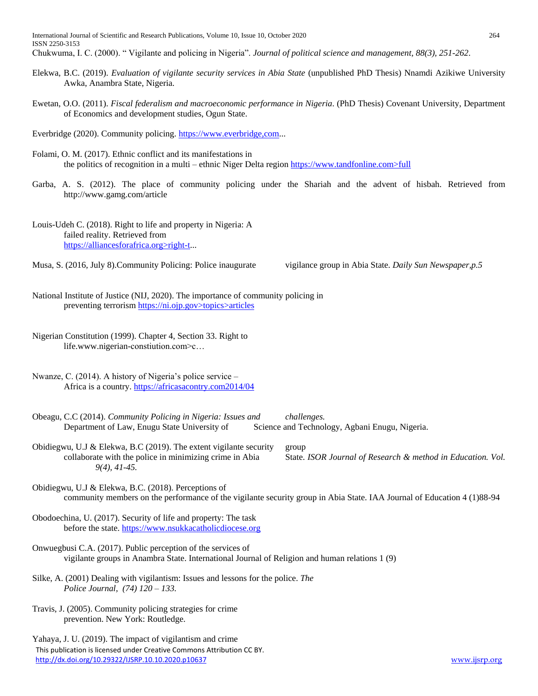- Elekwa, B.C. (2019). *Evaluation of vigilante security services in Abia State* (unpublished PhD Thesis) Nnamdi Azikiwe University Awka, Anambra State, Nigeria.
- Ewetan, O.O. (2011). *Fiscal federalism and macroeconomic performance in Nigeria*. (PhD Thesis) Covenant University, Department of Economics and development studies, Ogun State.
- Everbridge (2020). Community policing. https://www.everbridge.com...
- Folami, O. M. (2017). Ethnic conflict and its manifestations in the politics of recognition in a multi – ethnic Niger Delta region https://www.tandfonline.com>full
- Garba, A. S. (2012). The place of community policing under the Shariah and the advent of hisbah. Retrieved from http://www.gamg.com/article
- Louis-Udeh C. (2018). Right to life and property in Nigeria: A failed reality. Retrieved from https://alliancesforafrica.org>right-t...
- Musa, S. (2016, July 8).Community Policing: Police inaugurate vigilance group in Abia State. *Daily Sun Newspaper,p.5*

- National Institute of Justice (NIJ, 2020). The importance of community policing in preventing terrorism https://ni.ojp.gov>topics>articles
- Nigerian Constitution (1999). Chapter 4, Section 33. Right to life.www.nigerian-constiution.com>c…
- Nwanze, C. (2014). A history of Nigeria's police service Africa is a country.<https://africasacontry.com2014/04>
- Obeagu, C.C (2014). *Community Policing in Nigeria: Issues and challenges.* Department of Law, Enugu State University of Science and Technology, Agbani Enugu, Nigeria.
- Obidiegwu, U.J & Elekwa, B.C (2019). The extent vigilante security group collaborate with the police in minimizing crime in Abia State. *ISOR Journal of Research & method in Education. Vol. 9(4), 41-45.*

- Obidiegwu, U.J & Elekwa, B.C. (2018). Perceptions of community members on the performance of the vigilante security group in Abia State. IAA Journal of Education 4 (1)88-94
- Obodoechina, U. (2017). Security of life and property: The task before the state. [https://www.nsukkacatholicdiocese.org](https://www.nsukkacatholicdiocese.org/)
- Onwuegbusi C.A. (2017). Public perception of the services of vigilante groups in Anambra State. International Journal of Religion and human relations 1 (9)
- Silke, A. (2001) Dealing with vigilantism: Issues and lessons for the police. *The Police Journal, (74) 120 – 133.*
- Travis, J. (2005). Community policing strategies for crime prevention. New York: Routledge.
- This publication is licensed under Creative Commons Attribution CC BY. <http://dx.doi.org/10.29322/IJSRP.10.10.2020.p10637>[www.ijsrp.org](http://ijsrp.org/) Yahaya, J. U. (2019). The impact of vigilantism and crime